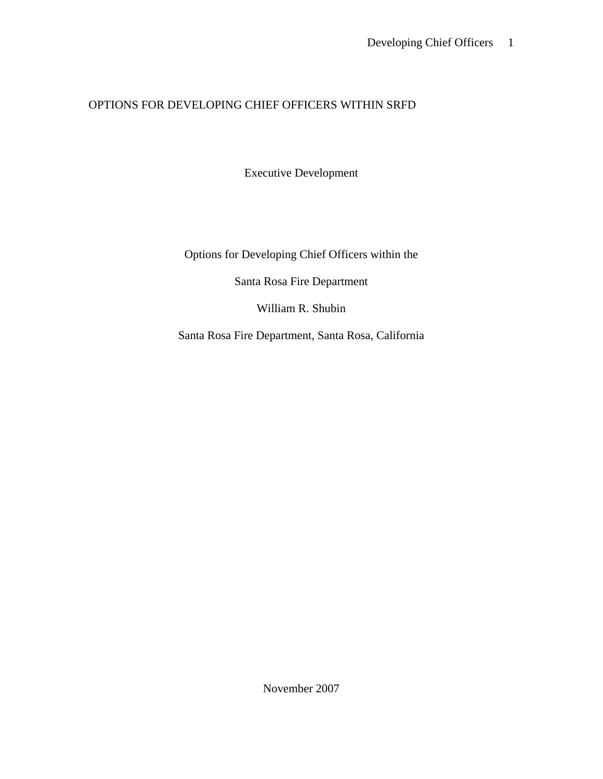## OPTIONS FOR DEVELOPING CHIEF OFFICERS WITHIN SRFD

Executive Development

Options for Developing Chief Officers within the

Santa Rosa Fire Department

William R. Shubin

Santa Rosa Fire Department, Santa Rosa, California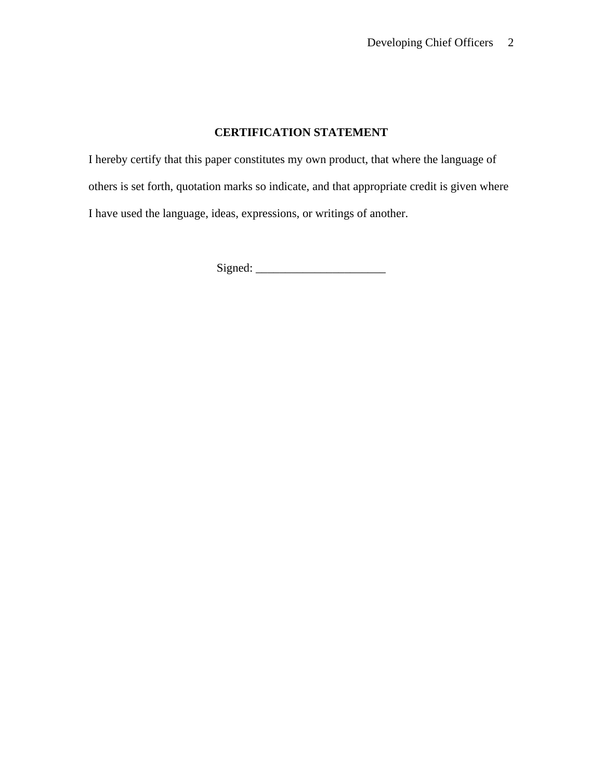## **CERTIFICATION STATEMENT**

I hereby certify that this paper constitutes my own product, that where the language of others is set forth, quotation marks so indicate, and that appropriate credit is given where I have used the language, ideas, expressions, or writings of another.

Signed: \_\_\_\_\_\_\_\_\_\_\_\_\_\_\_\_\_\_\_\_\_\_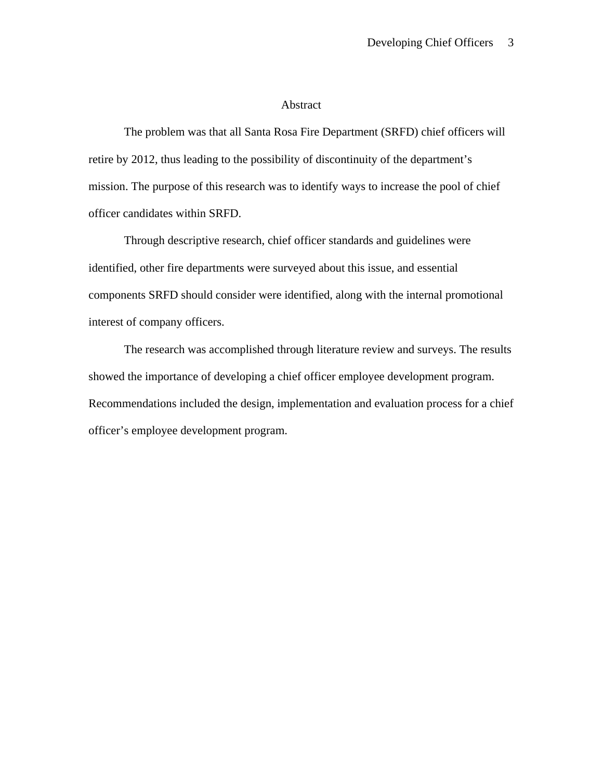### Abstract

 The problem was that all Santa Rosa Fire Department (SRFD) chief officers will retire by 2012, thus leading to the possibility of discontinuity of the department's mission. The purpose of this research was to identify ways to increase the pool of chief officer candidates within SRFD.

Through descriptive research, chief officer standards and guidelines were identified, other fire departments were surveyed about this issue, and essential components SRFD should consider were identified, along with the internal promotional interest of company officers.

The research was accomplished through literature review and surveys. The results showed the importance of developing a chief officer employee development program. Recommendations included the design, implementation and evaluation process for a chief officer's employee development program.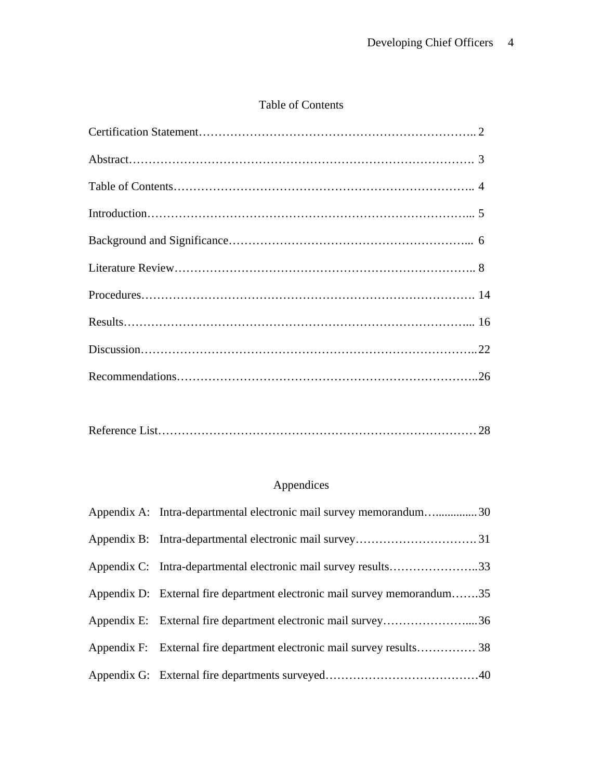## Table of Contents

|--|--|

## Appendices

| Appendix A: Intra-departmental electronic mail survey memorandum30       |  |
|--------------------------------------------------------------------------|--|
|                                                                          |  |
|                                                                          |  |
| Appendix D: External fire department electronic mail survey memorandum35 |  |
| Appendix E: External fire department electronic mail survey36            |  |
|                                                                          |  |
|                                                                          |  |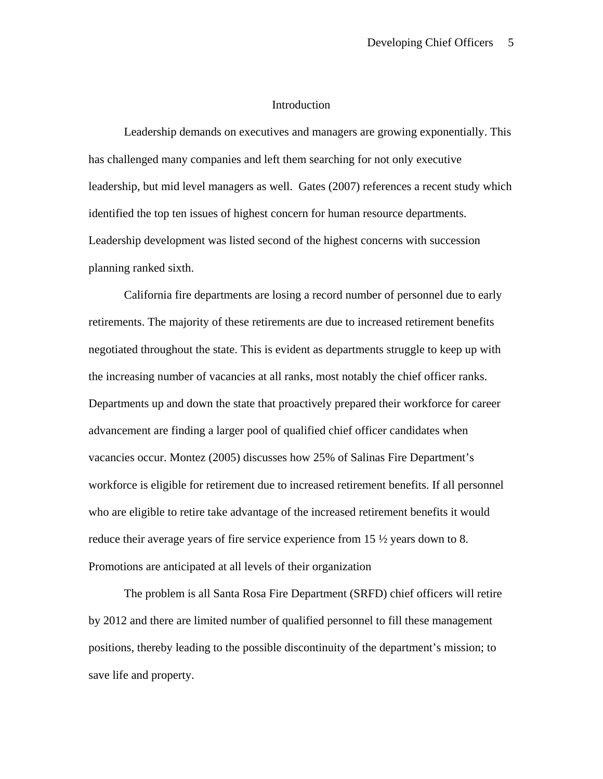### Introduction

 Leadership demands on executives and managers are growing exponentially. This has challenged many companies and left them searching for not only executive leadership, but mid level managers as well. Gates (2007) references a recent study which identified the top ten issues of highest concern for human resource departments. Leadership development was listed second of the highest concerns with succession planning ranked sixth.

California fire departments are losing a record number of personnel due to early retirements. The majority of these retirements are due to increased retirement benefits negotiated throughout the state. This is evident as departments struggle to keep up with the increasing number of vacancies at all ranks, most notably the chief officer ranks. Departments up and down the state that proactively prepared their workforce for career advancement are finding a larger pool of qualified chief officer candidates when vacancies occur. Montez (2005) discusses how 25% of Salinas Fire Department's workforce is eligible for retirement due to increased retirement benefits. If all personnel who are eligible to retire take advantage of the increased retirement benefits it would reduce their average years of fire service experience from 15 ½ years down to 8. Promotions are anticipated at all levels of their organization

The problem is all Santa Rosa Fire Department (SRFD) chief officers will retire by 2012 and there are limited number of qualified personnel to fill these management positions, thereby leading to the possible discontinuity of the department's mission; to save life and property.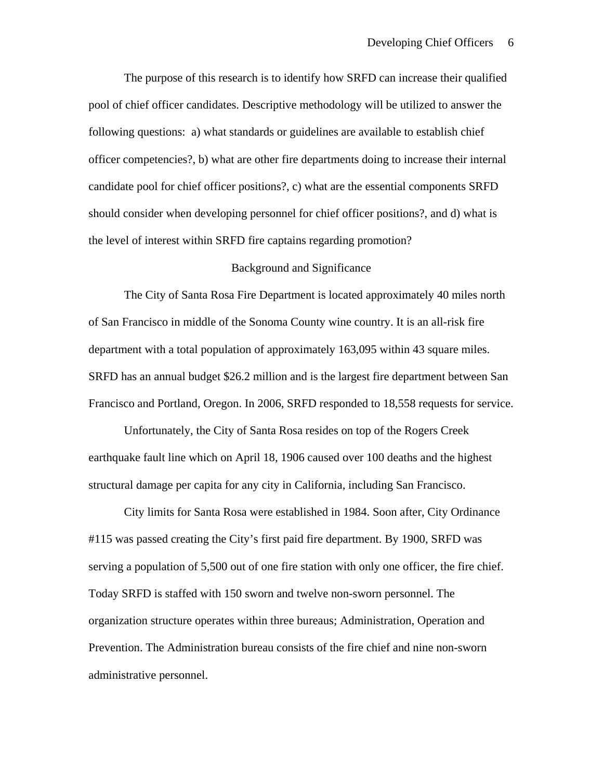The purpose of this research is to identify how SRFD can increase their qualified pool of chief officer candidates. Descriptive methodology will be utilized to answer the following questions: a) what standards or guidelines are available to establish chief officer competencies?, b) what are other fire departments doing to increase their internal candidate pool for chief officer positions?, c) what are the essential components SRFD should consider when developing personnel for chief officer positions?, and d) what is the level of interest within SRFD fire captains regarding promotion?

#### Background and Significance

 The City of Santa Rosa Fire Department is located approximately 40 miles north of San Francisco in middle of the Sonoma County wine country. It is an all-risk fire department with a total population of approximately 163,095 within 43 square miles. SRFD has an annual budget \$26.2 million and is the largest fire department between San Francisco and Portland, Oregon. In 2006, SRFD responded to 18,558 requests for service.

Unfortunately, the City of Santa Rosa resides on top of the Rogers Creek earthquake fault line which on April 18, 1906 caused over 100 deaths and the highest structural damage per capita for any city in California, including San Francisco.

 City limits for Santa Rosa were established in 1984. Soon after, City Ordinance #115 was passed creating the City's first paid fire department. By 1900, SRFD was serving a population of 5,500 out of one fire station with only one officer, the fire chief. Today SRFD is staffed with 150 sworn and twelve non-sworn personnel. The organization structure operates within three bureaus; Administration, Operation and Prevention. The Administration bureau consists of the fire chief and nine non-sworn administrative personnel.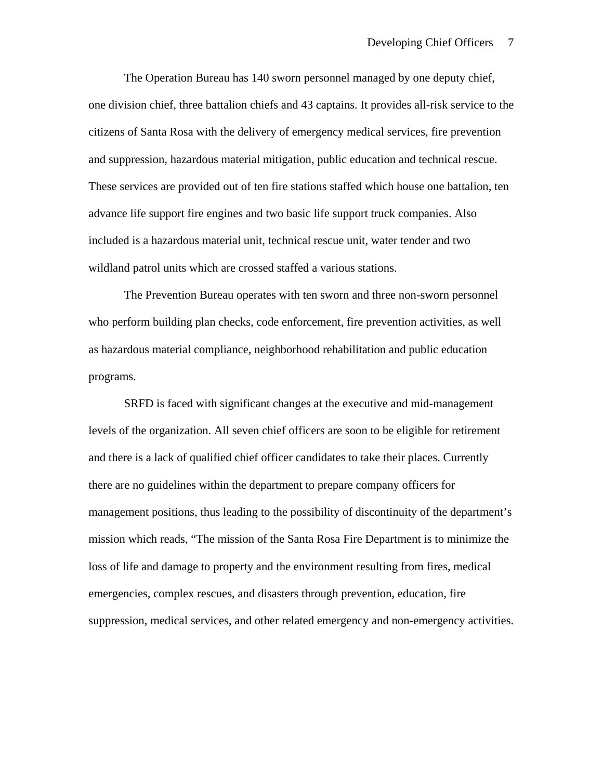The Operation Bureau has 140 sworn personnel managed by one deputy chief, one division chief, three battalion chiefs and 43 captains. It provides all-risk service to the citizens of Santa Rosa with the delivery of emergency medical services, fire prevention and suppression, hazardous material mitigation, public education and technical rescue. These services are provided out of ten fire stations staffed which house one battalion, ten advance life support fire engines and two basic life support truck companies. Also included is a hazardous material unit, technical rescue unit, water tender and two wildland patrol units which are crossed staffed a various stations.

The Prevention Bureau operates with ten sworn and three non-sworn personnel who perform building plan checks, code enforcement, fire prevention activities, as well as hazardous material compliance, neighborhood rehabilitation and public education programs.

SRFD is faced with significant changes at the executive and mid-management levels of the organization. All seven chief officers are soon to be eligible for retirement and there is a lack of qualified chief officer candidates to take their places. Currently there are no guidelines within the department to prepare company officers for management positions, thus leading to the possibility of discontinuity of the department's mission which reads, "The mission of the Santa Rosa Fire Department is to minimize the loss of life and damage to property and the environment resulting from fires, medical emergencies, complex rescues, and disasters through prevention, education, fire suppression, medical services, and other related emergency and non-emergency activities.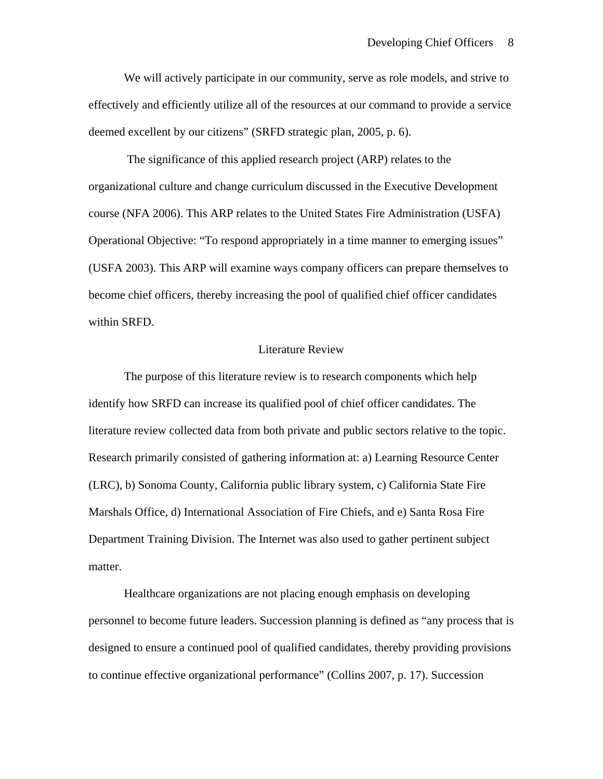We will actively participate in our community, serve as role models, and strive to effectively and efficiently utilize all of the resources at our command to provide a service deemed excellent by our citizens" (SRFD strategic plan, 2005, p. 6).

 The significance of this applied research project (ARP) relates to the organizational culture and change curriculum discussed in the Executive Development course (NFA 2006). This ARP relates to the United States Fire Administration (USFA) Operational Objective: "To respond appropriately in a time manner to emerging issues" (USFA 2003). This ARP will examine ways company officers can prepare themselves to become chief officers, thereby increasing the pool of qualified chief officer candidates within SRFD.

#### Literature Review

 The purpose of this literature review is to research components which help identify how SRFD can increase its qualified pool of chief officer candidates. The literature review collected data from both private and public sectors relative to the topic. Research primarily consisted of gathering information at: a) Learning Resource Center (LRC), b) Sonoma County, California public library system, c) California State Fire Marshals Office, d) International Association of Fire Chiefs, and e) Santa Rosa Fire Department Training Division. The Internet was also used to gather pertinent subject matter.

 Healthcare organizations are not placing enough emphasis on developing personnel to become future leaders. Succession planning is defined as "any process that is designed to ensure a continued pool of qualified candidates, thereby providing provisions to continue effective organizational performance" (Collins 2007, p. 17). Succession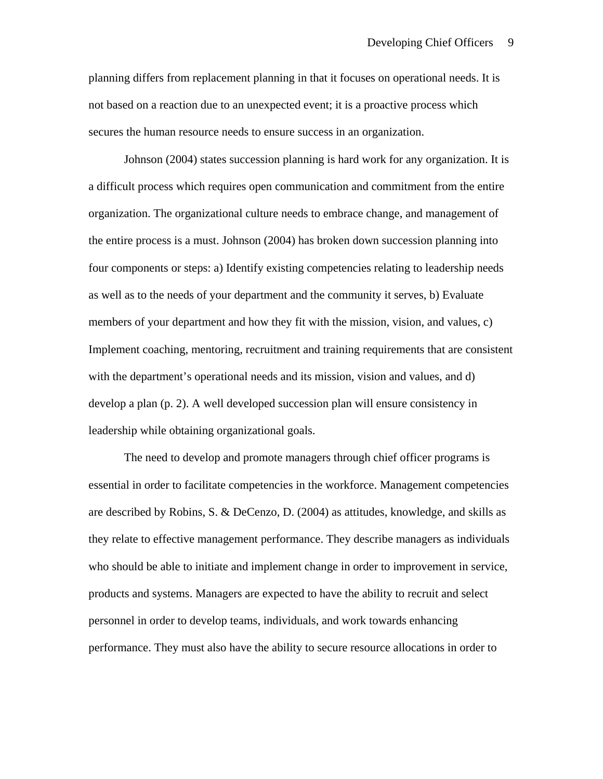planning differs from replacement planning in that it focuses on operational needs. It is not based on a reaction due to an unexpected event; it is a proactive process which secures the human resource needs to ensure success in an organization.

 Johnson (2004) states succession planning is hard work for any organization. It is a difficult process which requires open communication and commitment from the entire organization. The organizational culture needs to embrace change, and management of the entire process is a must. Johnson (2004) has broken down succession planning into four components or steps: a) Identify existing competencies relating to leadership needs as well as to the needs of your department and the community it serves, b) Evaluate members of your department and how they fit with the mission, vision, and values, c) Implement coaching, mentoring, recruitment and training requirements that are consistent with the department's operational needs and its mission, vision and values, and d) develop a plan (p. 2). A well developed succession plan will ensure consistency in leadership while obtaining organizational goals.

 The need to develop and promote managers through chief officer programs is essential in order to facilitate competencies in the workforce. Management competencies are described by Robins, S. & DeCenzo, D. (2004) as attitudes, knowledge, and skills as they relate to effective management performance. They describe managers as individuals who should be able to initiate and implement change in order to improvement in service, products and systems. Managers are expected to have the ability to recruit and select personnel in order to develop teams, individuals, and work towards enhancing performance. They must also have the ability to secure resource allocations in order to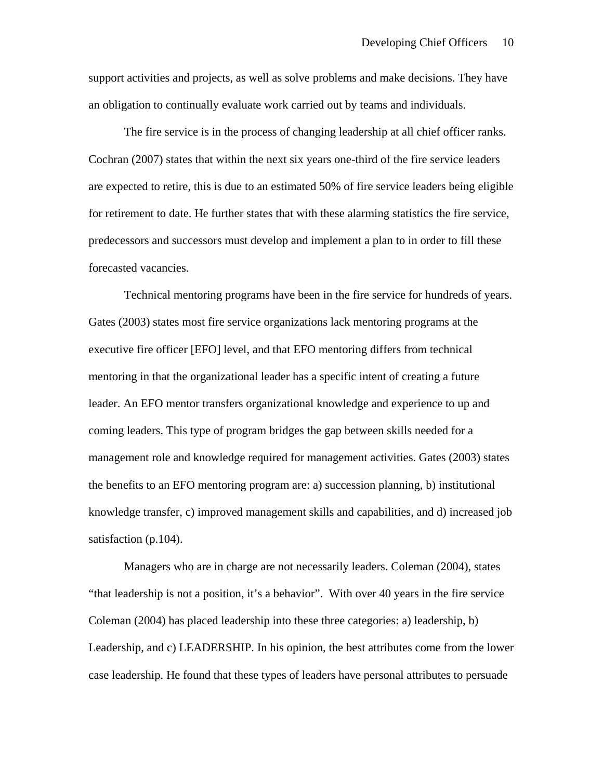support activities and projects, as well as solve problems and make decisions. They have an obligation to continually evaluate work carried out by teams and individuals.

 The fire service is in the process of changing leadership at all chief officer ranks. Cochran (2007) states that within the next six years one-third of the fire service leaders are expected to retire, this is due to an estimated 50% of fire service leaders being eligible for retirement to date. He further states that with these alarming statistics the fire service, predecessors and successors must develop and implement a plan to in order to fill these forecasted vacancies.

 Technical mentoring programs have been in the fire service for hundreds of years. Gates (2003) states most fire service organizations lack mentoring programs at the executive fire officer [EFO] level, and that EFO mentoring differs from technical mentoring in that the organizational leader has a specific intent of creating a future leader. An EFO mentor transfers organizational knowledge and experience to up and coming leaders. This type of program bridges the gap between skills needed for a management role and knowledge required for management activities. Gates (2003) states the benefits to an EFO mentoring program are: a) succession planning, b) institutional knowledge transfer, c) improved management skills and capabilities, and d) increased job satisfaction (p.104).

 Managers who are in charge are not necessarily leaders. Coleman (2004), states "that leadership is not a position, it's a behavior". With over 40 years in the fire service Coleman (2004) has placed leadership into these three categories: a) leadership, b) Leadership, and c) LEADERSHIP. In his opinion, the best attributes come from the lower case leadership. He found that these types of leaders have personal attributes to persuade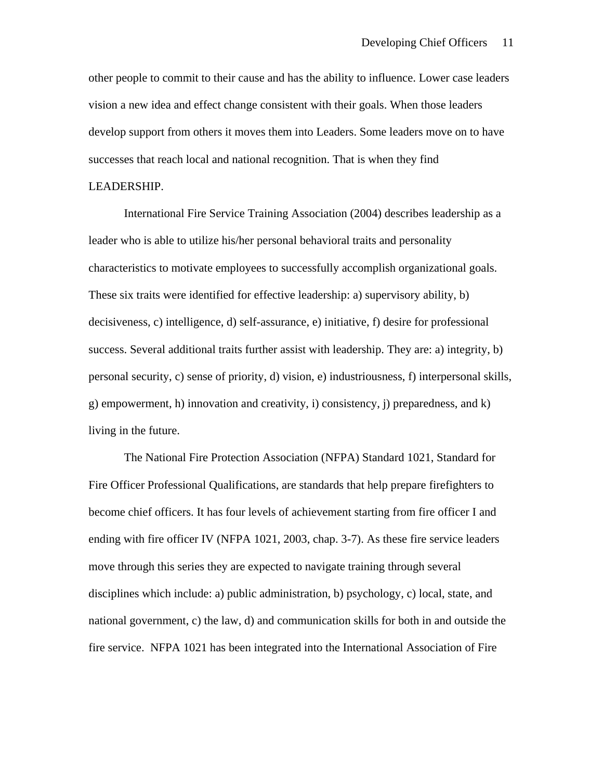other people to commit to their cause and has the ability to influence. Lower case leaders vision a new idea and effect change consistent with their goals. When those leaders develop support from others it moves them into Leaders. Some leaders move on to have successes that reach local and national recognition. That is when they find

### LEADERSHIP.

 International Fire Service Training Association (2004) describes leadership as a leader who is able to utilize his/her personal behavioral traits and personality characteristics to motivate employees to successfully accomplish organizational goals. These six traits were identified for effective leadership: a) supervisory ability, b) decisiveness, c) intelligence, d) self-assurance, e) initiative, f) desire for professional success. Several additional traits further assist with leadership. They are: a) integrity, b) personal security, c) sense of priority, d) vision, e) industriousness, f) interpersonal skills, g) empowerment, h) innovation and creativity, i) consistency, j) preparedness, and k) living in the future.

 The National Fire Protection Association (NFPA) Standard 1021, Standard for Fire Officer Professional Qualifications, are standards that help prepare firefighters to become chief officers. It has four levels of achievement starting from fire officer I and ending with fire officer IV (NFPA 1021, 2003, chap. 3-7). As these fire service leaders move through this series they are expected to navigate training through several disciplines which include: a) public administration, b) psychology, c) local, state, and national government, c) the law, d) and communication skills for both in and outside the fire service. NFPA 1021 has been integrated into the International Association of Fire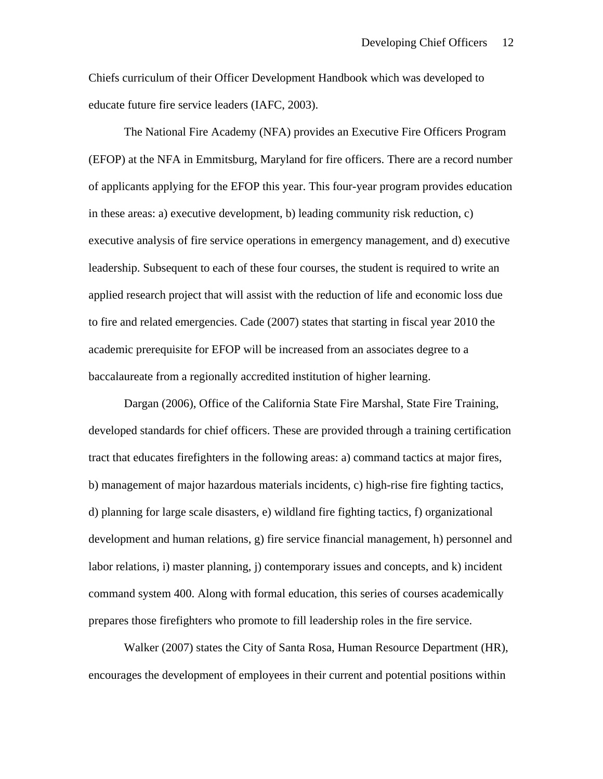Chiefs curriculum of their Officer Development Handbook which was developed to educate future fire service leaders (IAFC, 2003).

 The National Fire Academy (NFA) provides an Executive Fire Officers Program (EFOP) at the NFA in Emmitsburg, Maryland for fire officers. There are a record number of applicants applying for the EFOP this year. This four-year program provides education in these areas: a) executive development, b) leading community risk reduction, c) executive analysis of fire service operations in emergency management, and d) executive leadership. Subsequent to each of these four courses, the student is required to write an applied research project that will assist with the reduction of life and economic loss due to fire and related emergencies. Cade (2007) states that starting in fiscal year 2010 the academic prerequisite for EFOP will be increased from an associates degree to a baccalaureate from a regionally accredited institution of higher learning.

 Dargan (2006), Office of the California State Fire Marshal, State Fire Training, developed standards for chief officers. These are provided through a training certification tract that educates firefighters in the following areas: a) command tactics at major fires, b) management of major hazardous materials incidents, c) high-rise fire fighting tactics, d) planning for large scale disasters, e) wildland fire fighting tactics, f) organizational development and human relations, g) fire service financial management, h) personnel and labor relations, i) master planning, j) contemporary issues and concepts, and k) incident command system 400. Along with formal education, this series of courses academically prepares those firefighters who promote to fill leadership roles in the fire service.

 Walker (2007) states the City of Santa Rosa, Human Resource Department (HR), encourages the development of employees in their current and potential positions within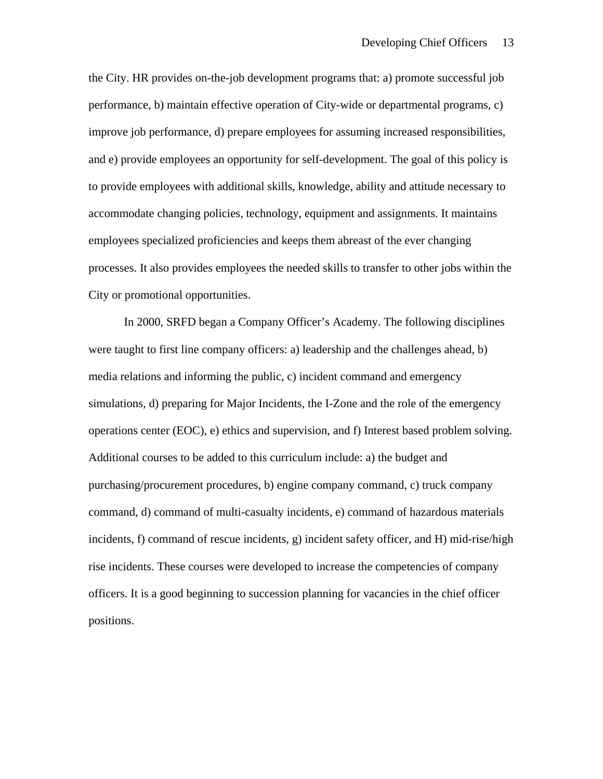the City. HR provides on-the-job development programs that: a) promote successful job performance, b) maintain effective operation of City-wide or departmental programs, c) improve job performance, d) prepare employees for assuming increased responsibilities, and e) provide employees an opportunity for self-development. The goal of this policy is to provide employees with additional skills, knowledge, ability and attitude necessary to accommodate changing policies, technology, equipment and assignments. It maintains employees specialized proficiencies and keeps them abreast of the ever changing processes. It also provides employees the needed skills to transfer to other jobs within the City or promotional opportunities.

 In 2000, SRFD began a Company Officer's Academy. The following disciplines were taught to first line company officers: a) leadership and the challenges ahead, b) media relations and informing the public, c) incident command and emergency simulations, d) preparing for Major Incidents, the I-Zone and the role of the emergency operations center (EOC), e) ethics and supervision, and f) Interest based problem solving. Additional courses to be added to this curriculum include: a) the budget and purchasing/procurement procedures, b) engine company command, c) truck company command, d) command of multi-casualty incidents, e) command of hazardous materials incidents, f) command of rescue incidents, g) incident safety officer, and H) mid-rise/high rise incidents. These courses were developed to increase the competencies of company officers. It is a good beginning to succession planning for vacancies in the chief officer positions.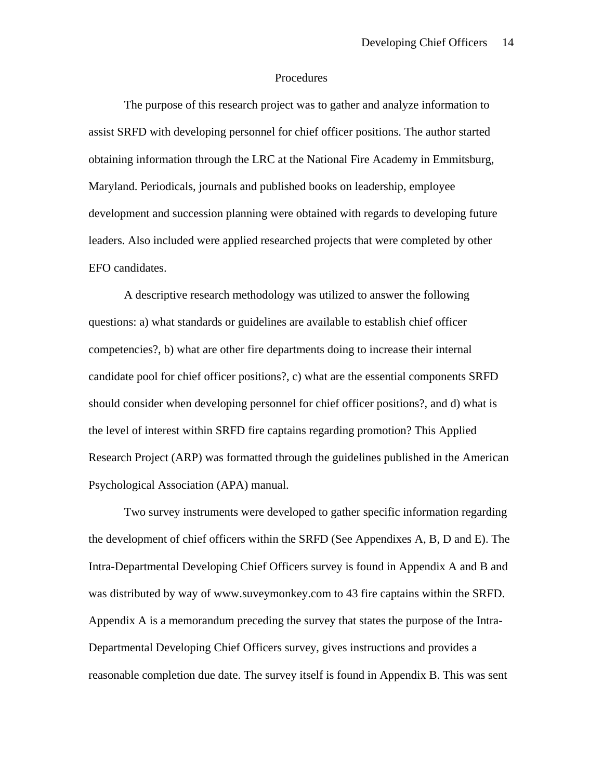### Procedures

 The purpose of this research project was to gather and analyze information to assist SRFD with developing personnel for chief officer positions. The author started obtaining information through the LRC at the National Fire Academy in Emmitsburg, Maryland. Periodicals, journals and published books on leadership, employee development and succession planning were obtained with regards to developing future leaders. Also included were applied researched projects that were completed by other EFO candidates.

 A descriptive research methodology was utilized to answer the following questions: a) what standards or guidelines are available to establish chief officer competencies?, b) what are other fire departments doing to increase their internal candidate pool for chief officer positions?, c) what are the essential components SRFD should consider when developing personnel for chief officer positions?, and d) what is the level of interest within SRFD fire captains regarding promotion? This Applied Research Project (ARP) was formatted through the guidelines published in the American Psychological Association (APA) manual.

 Two survey instruments were developed to gather specific information regarding the development of chief officers within the SRFD (See Appendixes A, B, D and E). The Intra-Departmental Developing Chief Officers survey is found in Appendix A and B and was distributed by way of www.suveymonkey.com to 43 fire captains within the SRFD. Appendix A is a memorandum preceding the survey that states the purpose of the Intra-Departmental Developing Chief Officers survey, gives instructions and provides a reasonable completion due date. The survey itself is found in Appendix B. This was sent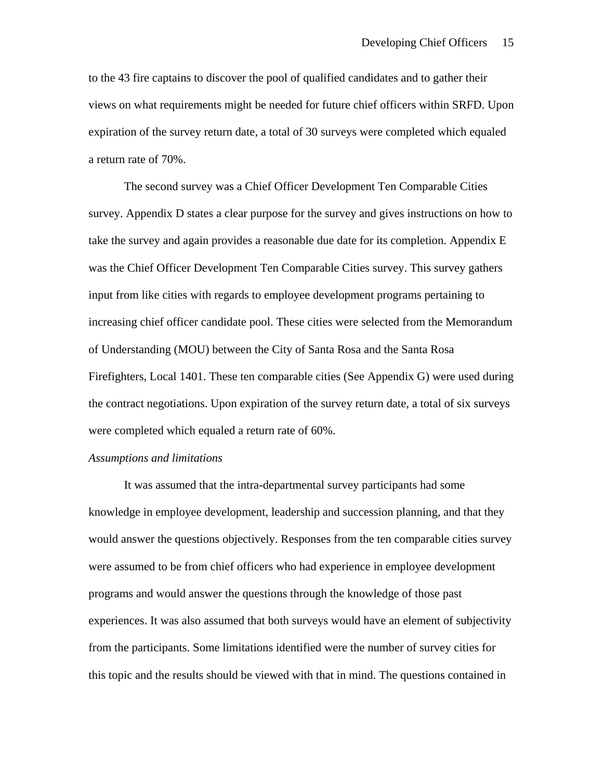to the 43 fire captains to discover the pool of qualified candidates and to gather their views on what requirements might be needed for future chief officers within SRFD. Upon expiration of the survey return date, a total of 30 surveys were completed which equaled a return rate of 70%.

 The second survey was a Chief Officer Development Ten Comparable Cities survey. Appendix D states a clear purpose for the survey and gives instructions on how to take the survey and again provides a reasonable due date for its completion. Appendix E was the Chief Officer Development Ten Comparable Cities survey. This survey gathers input from like cities with regards to employee development programs pertaining to increasing chief officer candidate pool. These cities were selected from the Memorandum of Understanding (MOU) between the City of Santa Rosa and the Santa Rosa Firefighters, Local 1401. These ten comparable cities (See Appendix G) were used during the contract negotiations. Upon expiration of the survey return date, a total of six surveys were completed which equaled a return rate of 60%.

### *Assumptions and limitations*

 It was assumed that the intra-departmental survey participants had some knowledge in employee development, leadership and succession planning, and that they would answer the questions objectively. Responses from the ten comparable cities survey were assumed to be from chief officers who had experience in employee development programs and would answer the questions through the knowledge of those past experiences. It was also assumed that both surveys would have an element of subjectivity from the participants. Some limitations identified were the number of survey cities for this topic and the results should be viewed with that in mind. The questions contained in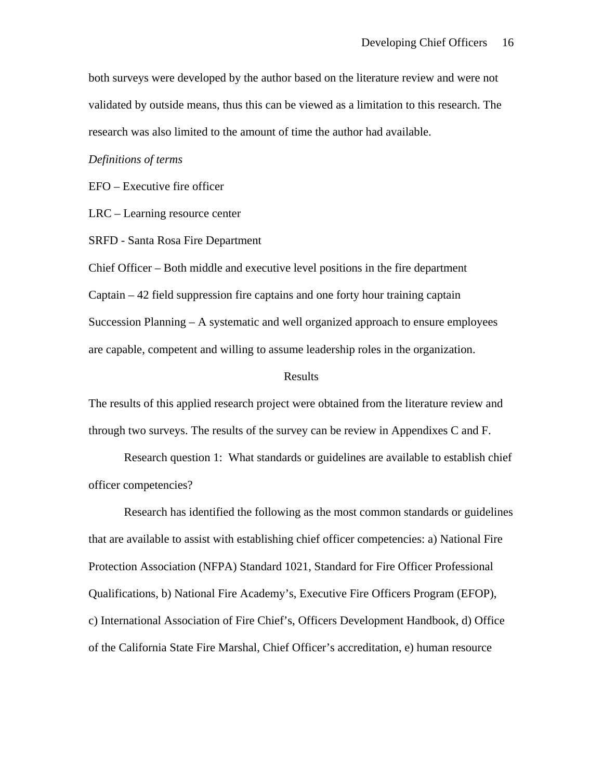both surveys were developed by the author based on the literature review and were not validated by outside means, thus this can be viewed as a limitation to this research. The research was also limited to the amount of time the author had available.

### *Definitions of terms*

EFO – Executive fire officer

LRC – Learning resource center

SRFD - Santa Rosa Fire Department

Chief Officer – Both middle and executive level positions in the fire department Captain – 42 field suppression fire captains and one forty hour training captain Succession Planning – A systematic and well organized approach to ensure employees are capable, competent and willing to assume leadership roles in the organization.

#### Results

The results of this applied research project were obtained from the literature review and through two surveys. The results of the survey can be review in Appendixes C and F.

 Research question 1: What standards or guidelines are available to establish chief officer competencies?

 Research has identified the following as the most common standards or guidelines that are available to assist with establishing chief officer competencies: a) National Fire Protection Association (NFPA) Standard 1021, Standard for Fire Officer Professional Qualifications, b) National Fire Academy's, Executive Fire Officers Program (EFOP), c) International Association of Fire Chief's, Officers Development Handbook, d) Office of the California State Fire Marshal, Chief Officer's accreditation, e) human resource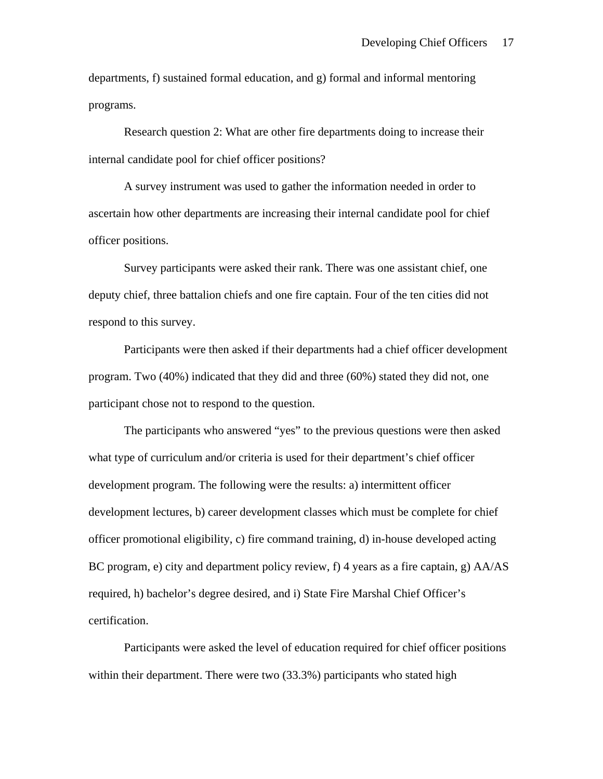departments, f) sustained formal education, and g) formal and informal mentoring programs.

 Research question 2: What are other fire departments doing to increase their internal candidate pool for chief officer positions?

 A survey instrument was used to gather the information needed in order to ascertain how other departments are increasing their internal candidate pool for chief officer positions.

 Survey participants were asked their rank. There was one assistant chief, one deputy chief, three battalion chiefs and one fire captain. Four of the ten cities did not respond to this survey.

 Participants were then asked if their departments had a chief officer development program. Two (40%) indicated that they did and three (60%) stated they did not, one participant chose not to respond to the question.

 The participants who answered "yes" to the previous questions were then asked what type of curriculum and/or criteria is used for their department's chief officer development program. The following were the results: a) intermittent officer development lectures, b) career development classes which must be complete for chief officer promotional eligibility, c) fire command training, d) in-house developed acting BC program, e) city and department policy review, f) 4 years as a fire captain, g) AA/AS required, h) bachelor's degree desired, and i) State Fire Marshal Chief Officer's certification.

 Participants were asked the level of education required for chief officer positions within their department. There were two (33.3%) participants who stated high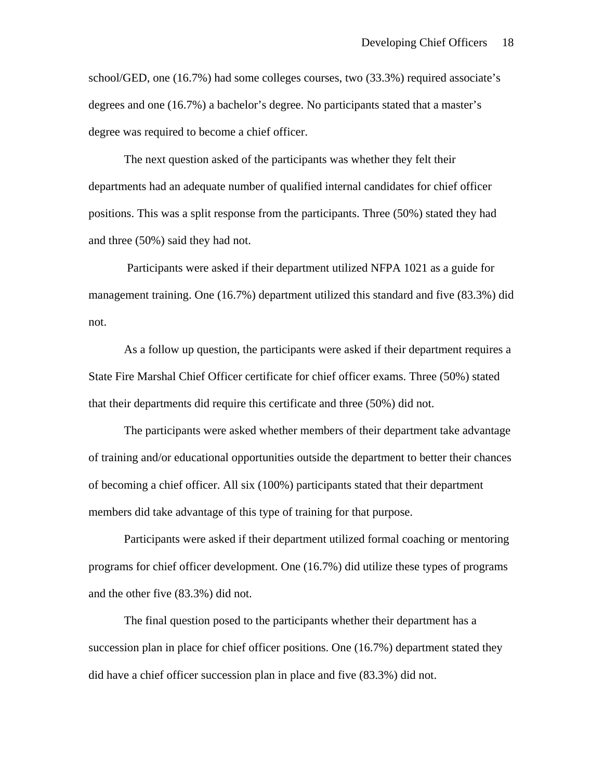school/GED, one (16.7%) had some colleges courses, two (33.3%) required associate's degrees and one (16.7%) a bachelor's degree. No participants stated that a master's degree was required to become a chief officer.

 The next question asked of the participants was whether they felt their departments had an adequate number of qualified internal candidates for chief officer positions. This was a split response from the participants. Three (50%) stated they had and three (50%) said they had not.

 Participants were asked if their department utilized NFPA 1021 as a guide for management training. One (16.7%) department utilized this standard and five (83.3%) did not.

 As a follow up question, the participants were asked if their department requires a State Fire Marshal Chief Officer certificate for chief officer exams. Three (50%) stated that their departments did require this certificate and three (50%) did not.

 The participants were asked whether members of their department take advantage of training and/or educational opportunities outside the department to better their chances of becoming a chief officer. All six (100%) participants stated that their department members did take advantage of this type of training for that purpose.

 Participants were asked if their department utilized formal coaching or mentoring programs for chief officer development. One (16.7%) did utilize these types of programs and the other five (83.3%) did not.

 The final question posed to the participants whether their department has a succession plan in place for chief officer positions. One (16.7%) department stated they did have a chief officer succession plan in place and five (83.3%) did not.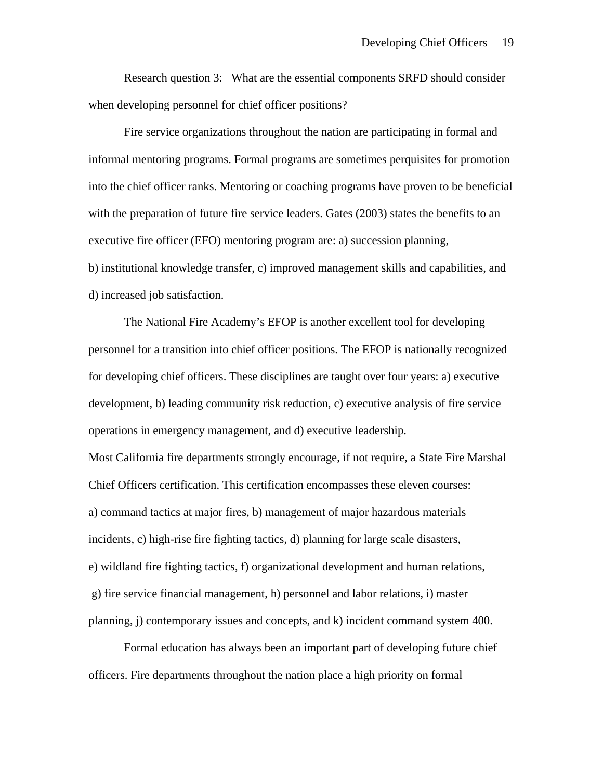Research question 3: What are the essential components SRFD should consider when developing personnel for chief officer positions?

 Fire service organizations throughout the nation are participating in formal and informal mentoring programs. Formal programs are sometimes perquisites for promotion into the chief officer ranks. Mentoring or coaching programs have proven to be beneficial with the preparation of future fire service leaders. Gates (2003) states the benefits to an executive fire officer (EFO) mentoring program are: a) succession planning, b) institutional knowledge transfer, c) improved management skills and capabilities, and d) increased job satisfaction.

 The National Fire Academy's EFOP is another excellent tool for developing personnel for a transition into chief officer positions. The EFOP is nationally recognized for developing chief officers. These disciplines are taught over four years: a) executive development, b) leading community risk reduction, c) executive analysis of fire service operations in emergency management, and d) executive leadership.

Most California fire departments strongly encourage, if not require, a State Fire Marshal Chief Officers certification. This certification encompasses these eleven courses: a) command tactics at major fires, b) management of major hazardous materials incidents, c) high-rise fire fighting tactics, d) planning for large scale disasters, e) wildland fire fighting tactics, f) organizational development and human relations, g) fire service financial management, h) personnel and labor relations, i) master planning, j) contemporary issues and concepts, and k) incident command system 400.

 Formal education has always been an important part of developing future chief officers. Fire departments throughout the nation place a high priority on formal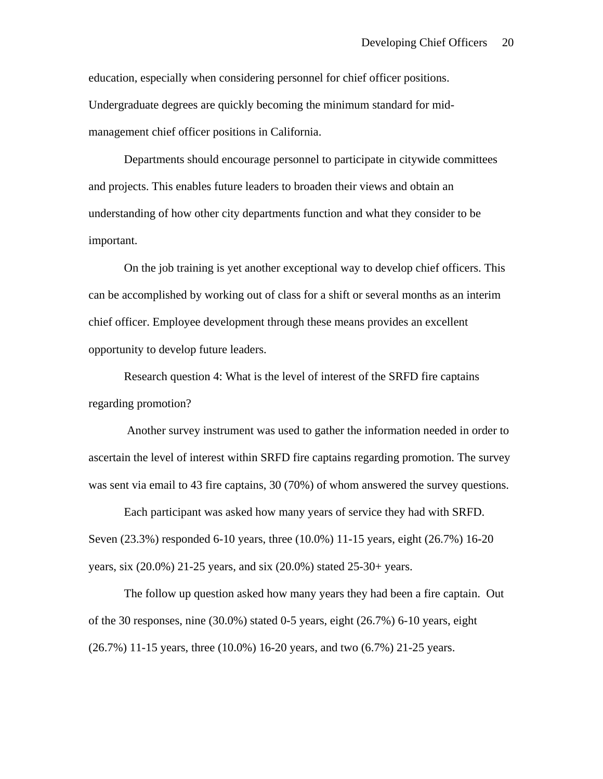education, especially when considering personnel for chief officer positions. Undergraduate degrees are quickly becoming the minimum standard for midmanagement chief officer positions in California.

 Departments should encourage personnel to participate in citywide committees and projects. This enables future leaders to broaden their views and obtain an understanding of how other city departments function and what they consider to be important.

 On the job training is yet another exceptional way to develop chief officers. This can be accomplished by working out of class for a shift or several months as an interim chief officer. Employee development through these means provides an excellent opportunity to develop future leaders.

 Research question 4: What is the level of interest of the SRFD fire captains regarding promotion?

 Another survey instrument was used to gather the information needed in order to ascertain the level of interest within SRFD fire captains regarding promotion. The survey was sent via email to 43 fire captains, 30 (70%) of whom answered the survey questions.

 Each participant was asked how many years of service they had with SRFD. Seven (23.3%) responded 6-10 years, three (10.0%) 11-15 years, eight (26.7%) 16-20 years, six (20.0%) 21-25 years, and six (20.0%) stated 25-30+ years.

 The follow up question asked how many years they had been a fire captain. Out of the 30 responses, nine (30.0%) stated 0-5 years, eight (26.7%) 6-10 years, eight (26.7%) 11-15 years, three (10.0%) 16-20 years, and two (6.7%) 21-25 years.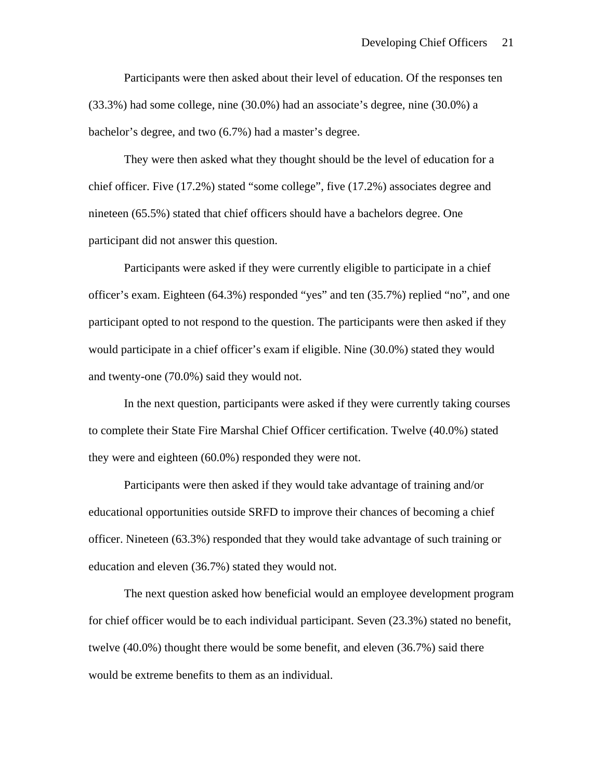Participants were then asked about their level of education. Of the responses ten (33.3%) had some college, nine (30.0%) had an associate's degree, nine (30.0%) a bachelor's degree, and two (6.7%) had a master's degree.

 They were then asked what they thought should be the level of education for a chief officer. Five (17.2%) stated "some college", five (17.2%) associates degree and nineteen (65.5%) stated that chief officers should have a bachelors degree. One participant did not answer this question.

 Participants were asked if they were currently eligible to participate in a chief officer's exam. Eighteen (64.3%) responded "yes" and ten (35.7%) replied "no", and one participant opted to not respond to the question. The participants were then asked if they would participate in a chief officer's exam if eligible. Nine (30.0%) stated they would and twenty-one (70.0%) said they would not.

 In the next question, participants were asked if they were currently taking courses to complete their State Fire Marshal Chief Officer certification. Twelve (40.0%) stated they were and eighteen (60.0%) responded they were not.

 Participants were then asked if they would take advantage of training and/or educational opportunities outside SRFD to improve their chances of becoming a chief officer. Nineteen (63.3%) responded that they would take advantage of such training or education and eleven (36.7%) stated they would not.

 The next question asked how beneficial would an employee development program for chief officer would be to each individual participant. Seven (23.3%) stated no benefit, twelve (40.0%) thought there would be some benefit, and eleven (36.7%) said there would be extreme benefits to them as an individual.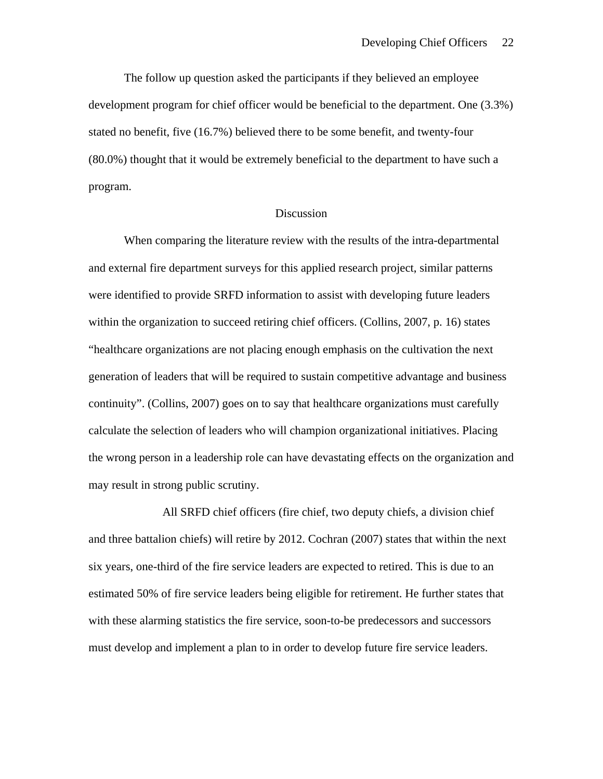The follow up question asked the participants if they believed an employee development program for chief officer would be beneficial to the department. One (3.3%) stated no benefit, five (16.7%) believed there to be some benefit, and twenty-four (80.0%) thought that it would be extremely beneficial to the department to have such a program.

#### Discussion

 When comparing the literature review with the results of the intra-departmental and external fire department surveys for this applied research project, similar patterns were identified to provide SRFD information to assist with developing future leaders within the organization to succeed retiring chief officers. (Collins, 2007, p. 16) states "healthcare organizations are not placing enough emphasis on the cultivation the next generation of leaders that will be required to sustain competitive advantage and business continuity". (Collins, 2007) goes on to say that healthcare organizations must carefully calculate the selection of leaders who will champion organizational initiatives. Placing the wrong person in a leadership role can have devastating effects on the organization and may result in strong public scrutiny.

 All SRFD chief officers (fire chief, two deputy chiefs, a division chief and three battalion chiefs) will retire by 2012. Cochran (2007) states that within the next six years, one-third of the fire service leaders are expected to retired. This is due to an estimated 50% of fire service leaders being eligible for retirement. He further states that with these alarming statistics the fire service, soon-to-be predecessors and successors must develop and implement a plan to in order to develop future fire service leaders.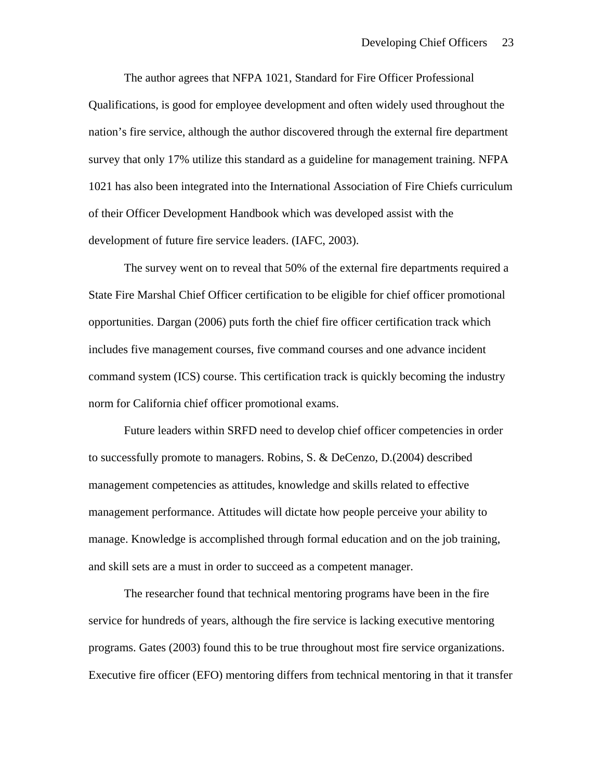The author agrees that NFPA 1021, Standard for Fire Officer Professional Qualifications, is good for employee development and often widely used throughout the nation's fire service, although the author discovered through the external fire department survey that only 17% utilize this standard as a guideline for management training. NFPA 1021 has also been integrated into the International Association of Fire Chiefs curriculum of their Officer Development Handbook which was developed assist with the development of future fire service leaders. (IAFC, 2003).

The survey went on to reveal that 50% of the external fire departments required a State Fire Marshal Chief Officer certification to be eligible for chief officer promotional opportunities. Dargan (2006) puts forth the chief fire officer certification track which includes five management courses, five command courses and one advance incident command system (ICS) course. This certification track is quickly becoming the industry norm for California chief officer promotional exams.

Future leaders within SRFD need to develop chief officer competencies in order to successfully promote to managers. Robins, S. & DeCenzo, D.(2004) described management competencies as attitudes, knowledge and skills related to effective management performance. Attitudes will dictate how people perceive your ability to manage. Knowledge is accomplished through formal education and on the job training, and skill sets are a must in order to succeed as a competent manager.

The researcher found that technical mentoring programs have been in the fire service for hundreds of years, although the fire service is lacking executive mentoring programs. Gates (2003) found this to be true throughout most fire service organizations. Executive fire officer (EFO) mentoring differs from technical mentoring in that it transfer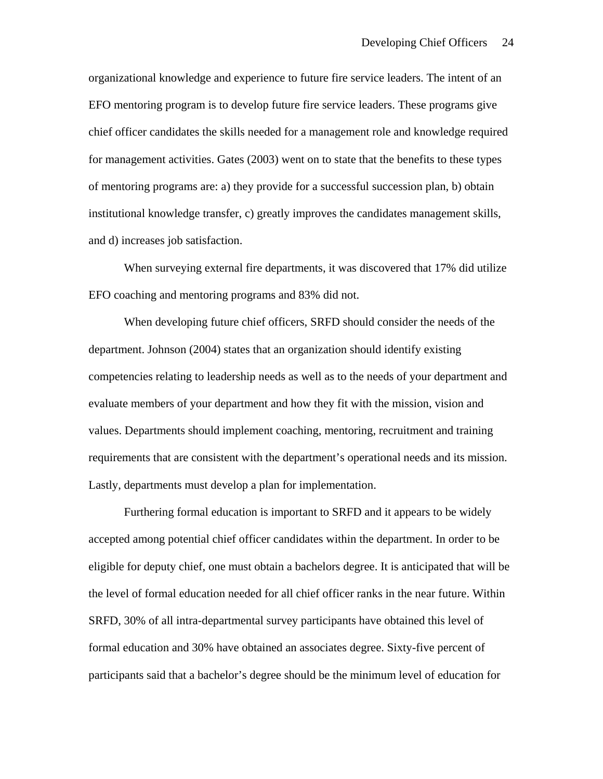organizational knowledge and experience to future fire service leaders. The intent of an EFO mentoring program is to develop future fire service leaders. These programs give chief officer candidates the skills needed for a management role and knowledge required for management activities. Gates (2003) went on to state that the benefits to these types of mentoring programs are: a) they provide for a successful succession plan, b) obtain institutional knowledge transfer, c) greatly improves the candidates management skills, and d) increases job satisfaction.

When surveying external fire departments, it was discovered that 17% did utilize EFO coaching and mentoring programs and 83% did not.

 When developing future chief officers, SRFD should consider the needs of the department. Johnson (2004) states that an organization should identify existing competencies relating to leadership needs as well as to the needs of your department and evaluate members of your department and how they fit with the mission, vision and values. Departments should implement coaching, mentoring, recruitment and training requirements that are consistent with the department's operational needs and its mission. Lastly, departments must develop a plan for implementation.

 Furthering formal education is important to SRFD and it appears to be widely accepted among potential chief officer candidates within the department. In order to be eligible for deputy chief, one must obtain a bachelors degree. It is anticipated that will be the level of formal education needed for all chief officer ranks in the near future. Within SRFD, 30% of all intra-departmental survey participants have obtained this level of formal education and 30% have obtained an associates degree. Sixty-five percent of participants said that a bachelor's degree should be the minimum level of education for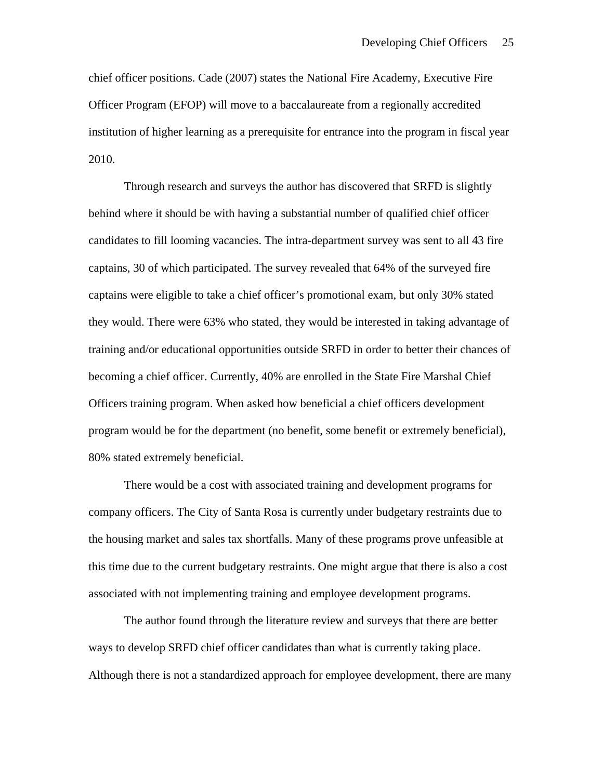chief officer positions. Cade (2007) states the National Fire Academy, Executive Fire Officer Program (EFOP) will move to a baccalaureate from a regionally accredited institution of higher learning as a prerequisite for entrance into the program in fiscal year 2010.

 Through research and surveys the author has discovered that SRFD is slightly behind where it should be with having a substantial number of qualified chief officer candidates to fill looming vacancies. The intra-department survey was sent to all 43 fire captains, 30 of which participated. The survey revealed that 64% of the surveyed fire captains were eligible to take a chief officer's promotional exam, but only 30% stated they would. There were 63% who stated, they would be interested in taking advantage of training and/or educational opportunities outside SRFD in order to better their chances of becoming a chief officer. Currently, 40% are enrolled in the State Fire Marshal Chief Officers training program. When asked how beneficial a chief officers development program would be for the department (no benefit, some benefit or extremely beneficial), 80% stated extremely beneficial.

 There would be a cost with associated training and development programs for company officers. The City of Santa Rosa is currently under budgetary restraints due to the housing market and sales tax shortfalls. Many of these programs prove unfeasible at this time due to the current budgetary restraints. One might argue that there is also a cost associated with not implementing training and employee development programs.

 The author found through the literature review and surveys that there are better ways to develop SRFD chief officer candidates than what is currently taking place. Although there is not a standardized approach for employee development, there are many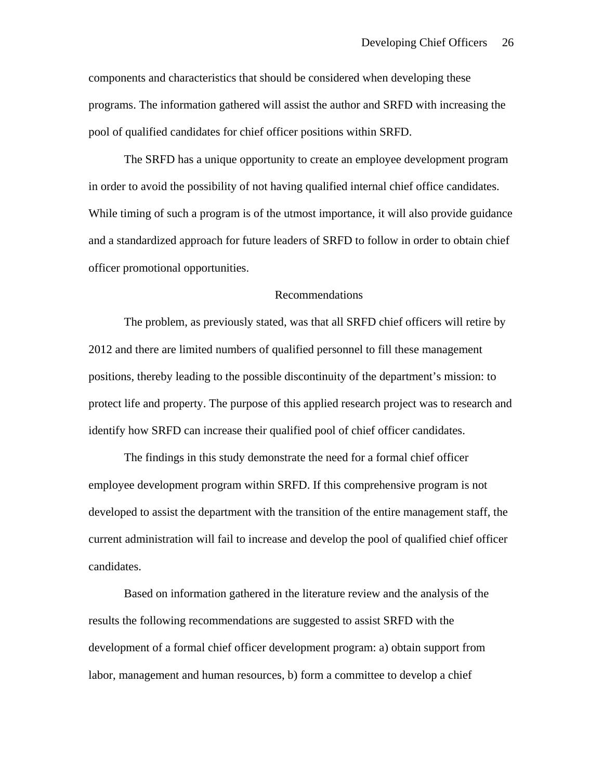components and characteristics that should be considered when developing these programs. The information gathered will assist the author and SRFD with increasing the pool of qualified candidates for chief officer positions within SRFD.

The SRFD has a unique opportunity to create an employee development program in order to avoid the possibility of not having qualified internal chief office candidates. While timing of such a program is of the utmost importance, it will also provide guidance and a standardized approach for future leaders of SRFD to follow in order to obtain chief officer promotional opportunities.

### Recommendations

 The problem, as previously stated, was that all SRFD chief officers will retire by 2012 and there are limited numbers of qualified personnel to fill these management positions, thereby leading to the possible discontinuity of the department's mission: to protect life and property. The purpose of this applied research project was to research and identify how SRFD can increase their qualified pool of chief officer candidates.

 The findings in this study demonstrate the need for a formal chief officer employee development program within SRFD. If this comprehensive program is not developed to assist the department with the transition of the entire management staff, the current administration will fail to increase and develop the pool of qualified chief officer candidates.

Based on information gathered in the literature review and the analysis of the results the following recommendations are suggested to assist SRFD with the development of a formal chief officer development program: a) obtain support from labor, management and human resources, b) form a committee to develop a chief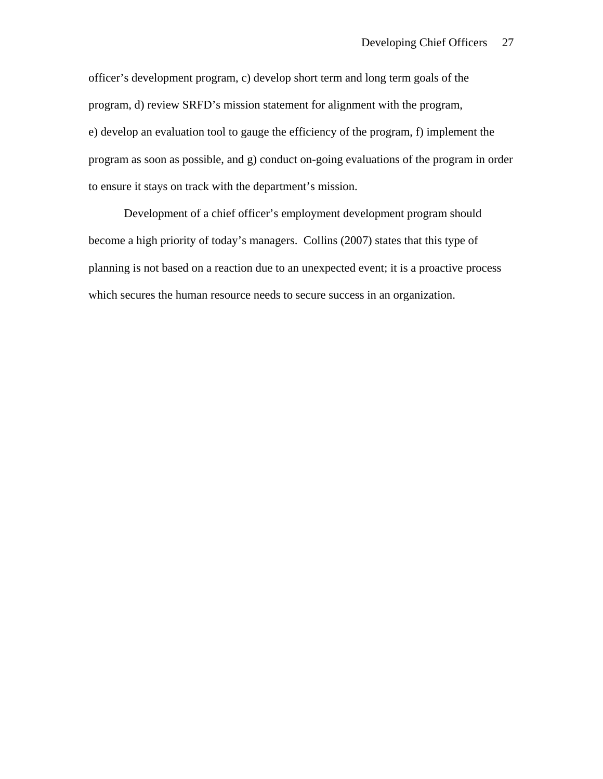officer's development program, c) develop short term and long term goals of the program, d) review SRFD's mission statement for alignment with the program, e) develop an evaluation tool to gauge the efficiency of the program, f) implement the program as soon as possible, and g) conduct on-going evaluations of the program in order to ensure it stays on track with the department's mission.

Development of a chief officer's employment development program should become a high priority of today's managers. Collins (2007) states that this type of planning is not based on a reaction due to an unexpected event; it is a proactive process which secures the human resource needs to secure success in an organization.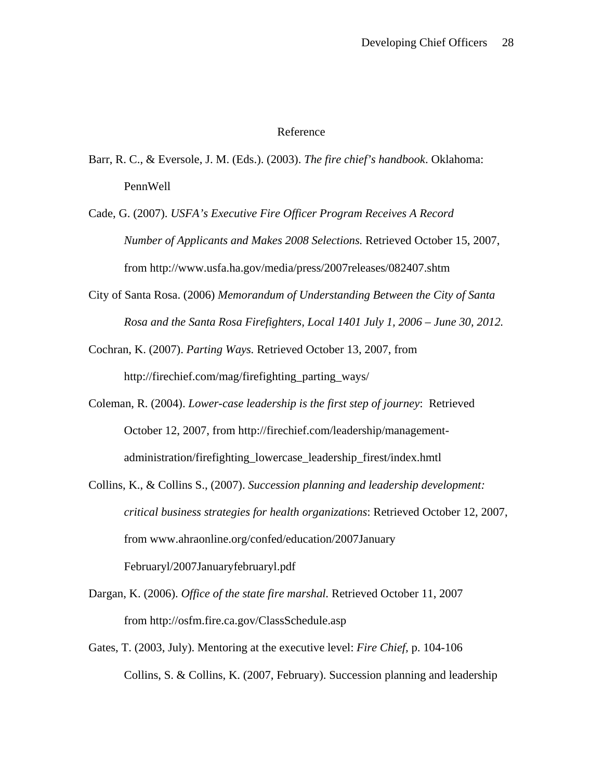### Reference

- Barr, R. C., & Eversole, J. M. (Eds.). (2003). *The fire chief's handbook*. Oklahoma: PennWell
- Cade, G. (2007). *USFA's Executive Fire Officer Program Receives A Record Number of Applicants and Makes 2008 Selections.* Retrieved October 15, 2007, from http://www.usfa.ha.gov/media/press/2007releases/082407.shtm
- City of Santa Rosa. (2006) *Memorandum of Understanding Between the City of Santa Rosa and the Santa Rosa Firefighters, Local 1401 July 1, 2006 – June 30, 2012.*
- Cochran, K. (2007). *Parting Ways.* Retrieved October 13, 2007, from http://firechief.com/mag/firefighting\_parting\_ways/
- Coleman, R. (2004). *Lower-case leadership is the first step of journey*: Retrieved October 12, 2007, from http://firechief.com/leadership/managementadministration/firefighting\_lowercase\_leadership\_firest/index.hmtl
- Collins, K., & Collins S., (2007). *Succession planning and leadership development: critical business strategies for health organizations*: Retrieved October 12, 2007, from www.ahraonline.org/confed/education/2007January Februaryl/2007Januaryfebruaryl.pdf
- Dargan, K. (2006). *Office of the state fire marshal.* Retrieved October 11, 2007 from http://osfm.fire.ca.gov/ClassSchedule.asp
- Gates, T. (2003, July). Mentoring at the executive level: *Fire Chief,* p. 104-106 Collins, S. & Collins, K. (2007, February). Succession planning and leadership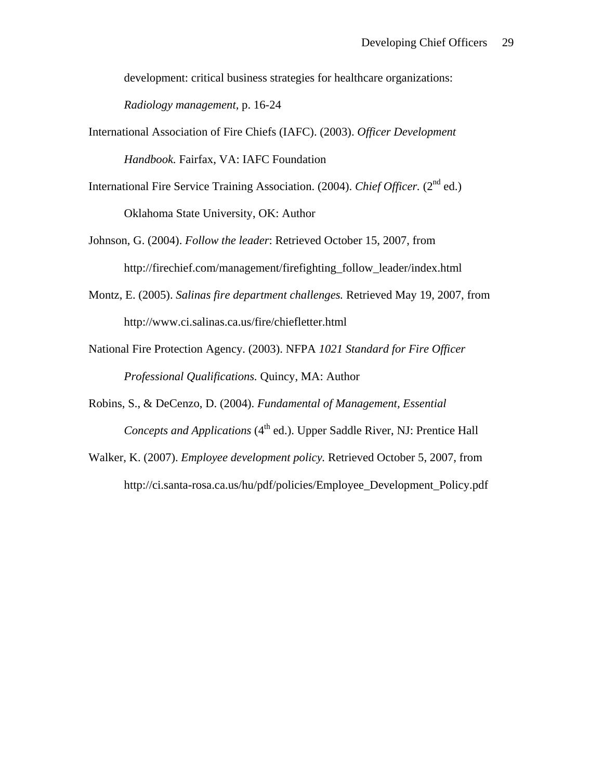development: critical business strategies for healthcare organizations:

*Radiology management,* p. 16-24

International Association of Fire Chiefs (IAFC). (2003). *Officer Development* 

*Handbook.* Fairfax, VA: IAFC Foundation

- International Fire Service Training Association. (2004). *Chief Officer.* (2<sup>nd</sup> ed.) Oklahoma State University, OK: Author
- Johnson, G. (2004). *Follow the leader*: Retrieved October 15, 2007, from http://firechief.com/management/firefighting\_follow\_leader/index.html
- Montz, E. (2005). *Salinas fire department challenges.* Retrieved May 19, 2007, from http://www.ci.salinas.ca.us/fire/chiefletter.html
- National Fire Protection Agency. (2003). NFPA *1021 Standard for Fire Officer Professional Qualifications.* Quincy, MA: Author
- Robins, S., & DeCenzo, D. (2004). *Fundamental of Management, Essential Concepts and Applications (4<sup>th</sup> ed.).* Upper Saddle River, NJ: Prentice Hall
- Walker, K. (2007). *Employee development policy.* Retrieved October 5, 2007, from http://ci.santa-rosa.ca.us/hu/pdf/policies/Employee\_Development\_Policy.pdf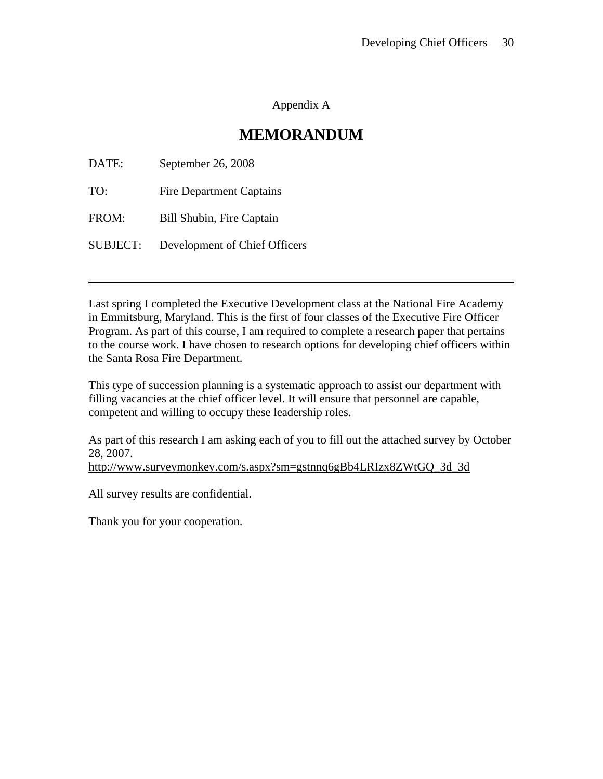## Appendix A

## **MEMORANDUM**

| DATE:           | September 26, 2008              |
|-----------------|---------------------------------|
| TO:             | <b>Fire Department Captains</b> |
| FROM:           | Bill Shubin, Fire Captain       |
| <b>SUBJECT:</b> | Development of Chief Officers   |

Last spring I completed the Executive Development class at the National Fire Academy in Emmitsburg, Maryland. This is the first of four classes of the Executive Fire Officer Program. As part of this course, I am required to complete a research paper that pertains to the course work. I have chosen to research options for developing chief officers within the Santa Rosa Fire Department.

This type of succession planning is a systematic approach to assist our department with filling vacancies at the chief officer level. It will ensure that personnel are capable, competent and willing to occupy these leadership roles.

As part of this research I am asking each of you to fill out the attached survey by October 28, 2007.

http://www.surveymonkey.com/s.aspx?sm=gstnnq6gBb4LRIzx8ZWtGQ\_3d\_3d

All survey results are confidential.

Thank you for your cooperation.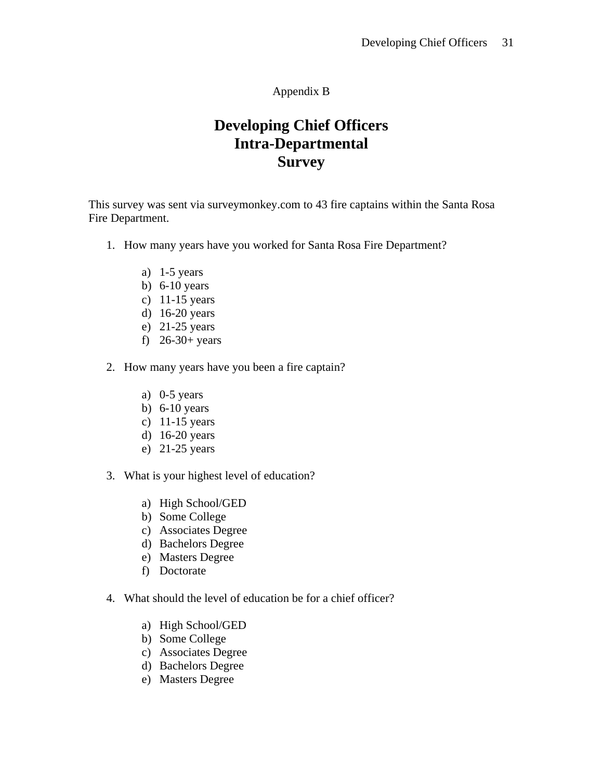### Appendix B

# **Developing Chief Officers Intra-Departmental Survey**

This survey was sent via surveymonkey.com to 43 fire captains within the Santa Rosa Fire Department.

- 1. How many years have you worked for Santa Rosa Fire Department?
	- a) 1-5 years
	- b) 6-10 years
	- c) 11-15 years
	- d) 16-20 years
	- e) 21-25 years
	- f) 26-30+ years
- 2. How many years have you been a fire captain?
	- a) 0-5 years
	- b) 6-10 years
	- c) 11-15 years
	- d) 16-20 years
	- e) 21-25 years
- 3. What is your highest level of education?
	- a) High School/GED
	- b) Some College
	- c) Associates Degree
	- d) Bachelors Degree
	- e) Masters Degree
	- f) Doctorate
- 4. What should the level of education be for a chief officer?
	- a) High School/GED
	- b) Some College
	- c) Associates Degree
	- d) Bachelors Degree
	- e) Masters Degree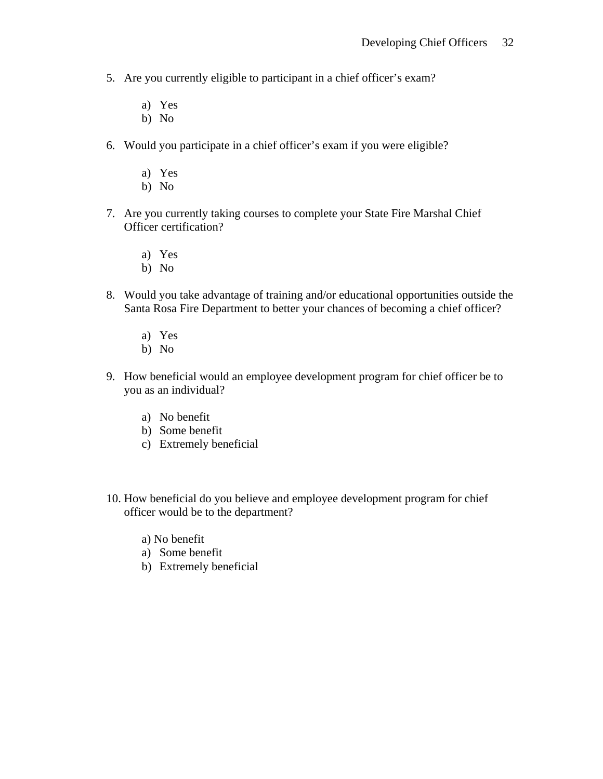- 5. Are you currently eligible to participant in a chief officer's exam?
	- a) Yes
	- b) No
- 6. Would you participate in a chief officer's exam if you were eligible?
	- a) Yes
	- b) No
- 7. Are you currently taking courses to complete your State Fire Marshal Chief Officer certification?
	- a) Yes
	- b) No
- 8. Would you take advantage of training and/or educational opportunities outside the Santa Rosa Fire Department to better your chances of becoming a chief officer?
	- a) Yes
	- b) No
- 9. How beneficial would an employee development program for chief officer be to you as an individual?
	- a) No benefit
	- b) Some benefit
	- c) Extremely beneficial
- 10. How beneficial do you believe and employee development program for chief officer would be to the department?
	- a) No benefit
	- a) Some benefit
	- b) Extremely beneficial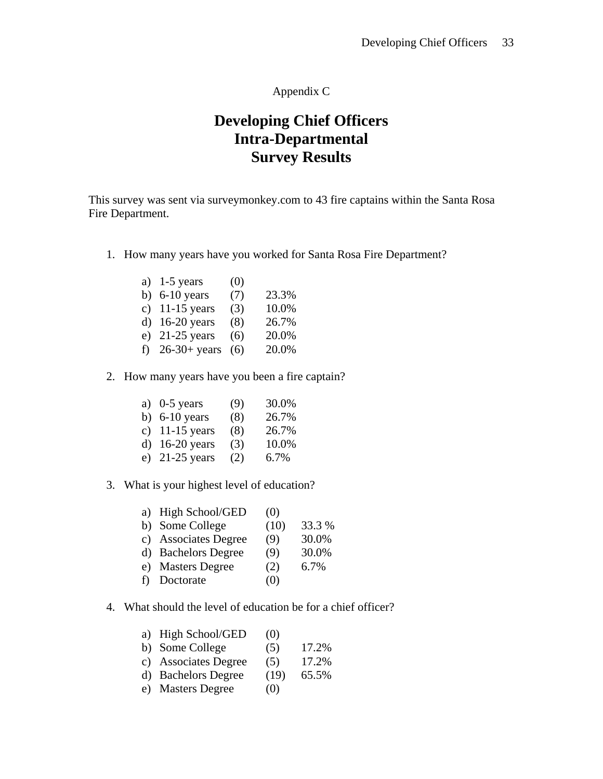## Appendix C

# **Developing Chief Officers Intra-Departmental Survey Results**

This survey was sent via surveymonkey.com to 43 fire captains within the Santa Rosa Fire Department.

1. How many years have you worked for Santa Rosa Fire Department?

| a) $1-5$ years    | (0) |       |
|-------------------|-----|-------|
| b) $6-10$ years   | (7) | 23.3% |
| c) $11-15$ years  | (3) | 10.0% |
| d) $16-20$ years  | (8) | 26.7% |
| e) $21-25$ years  | (6) | 20.0% |
| f) $26-30+ years$ | (6) | 20.0% |

## 2. How many years have you been a fire captain?

| a) $0-5$ years   | (9) | 30.0% |
|------------------|-----|-------|
| b) $6-10$ years  | (8) | 26.7% |
| c) $11-15$ years | (8) | 26.7% |
| d) $16-20$ years | (3) | 10.0% |
| e) $21-25$ years | (2) | 6.7%  |

### 3. What is your highest level of education?

|    | a) High School/GED   | (0)  |        |
|----|----------------------|------|--------|
|    | b) Some College      | (10) | 33.3 % |
|    | c) Associates Degree | (9)  | 30.0%  |
|    | d) Bachelors Degree  | (9)  | 30.0%  |
|    | e) Masters Degree    | (2)  | 6.7%   |
| f) | Doctorate            | (0)  |        |

### 4. What should the level of education be for a chief officer?

| a) High School/GED   | (0)  |       |
|----------------------|------|-------|
| b) Some College      | (5)  | 17.2% |
| c) Associates Degree | (5)  | 17.2% |
| d) Bachelors Degree  | (19) | 65.5% |

e) Masters Degree (0)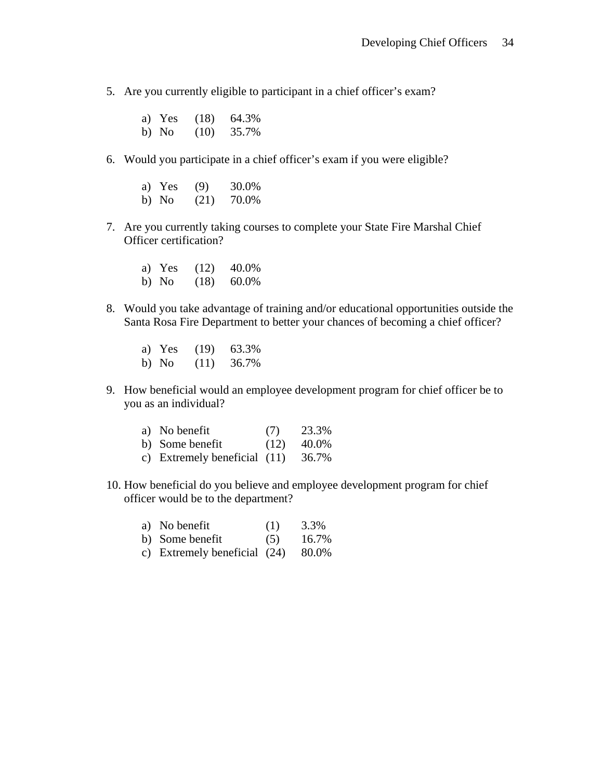- 5. Are you currently eligible to participant in a chief officer's exam?
	- a) Yes (18) 64.3% b) No (10) 35.7%
- 6. Would you participate in a chief officer's exam if you were eligible?
	- a) Yes (9) 30.0% b) No  $(21)$  70.0%
- 7. Are you currently taking courses to complete your State Fire Marshal Chief Officer certification?
	- a) Yes (12) 40.0% b) No (18) 60.0%
- 8. Would you take advantage of training and/or educational opportunities outside the Santa Rosa Fire Department to better your chances of becoming a chief officer?
	- a) Yes (19) 63.3% b) No (11) 36.7%
- 9. How beneficial would an employee development program for chief officer be to you as an individual?

| a) No benefit                        | (7)  | 23.3% |
|--------------------------------------|------|-------|
| b) Some benefit                      | (12) | 40.0% |
| c) Extremely beneficial $(11)$ 36.7% |      |       |

- 10. How beneficial do you believe and employee development program for chief officer would be to the department?
	- a) No benefit  $(1)$  3.3%
	- b) Some benefit  $(5)$  16.7%
	- c) Extremely beneficial (24) 80.0%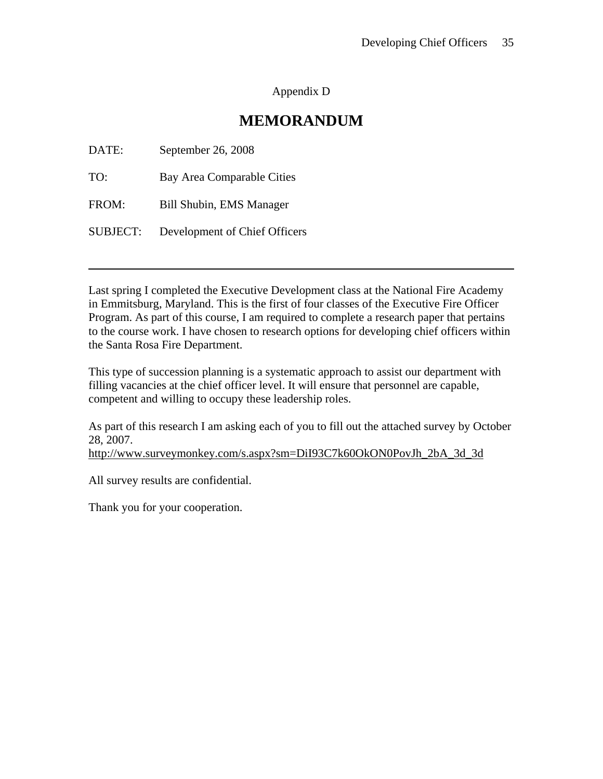### Appendix D

## **MEMORANDUM**

| DATE:           | September 26, 2008            |
|-----------------|-------------------------------|
| TO:             | Bay Area Comparable Cities    |
| FROM:           | Bill Shubin, EMS Manager      |
| <b>SUBJECT:</b> | Development of Chief Officers |

Last spring I completed the Executive Development class at the National Fire Academy in Emmitsburg, Maryland. This is the first of four classes of the Executive Fire Officer Program. As part of this course, I am required to complete a research paper that pertains to the course work. I have chosen to research options for developing chief officers within the Santa Rosa Fire Department.

This type of succession planning is a systematic approach to assist our department with filling vacancies at the chief officer level. It will ensure that personnel are capable, competent and willing to occupy these leadership roles.

As part of this research I am asking each of you to fill out the attached survey by October 28, 2007.

http://www.surveymonkey.com/s.aspx?sm=DiI93C7k60OkON0PovJh\_2bA\_3d\_3d

All survey results are confidential.

Thank you for your cooperation.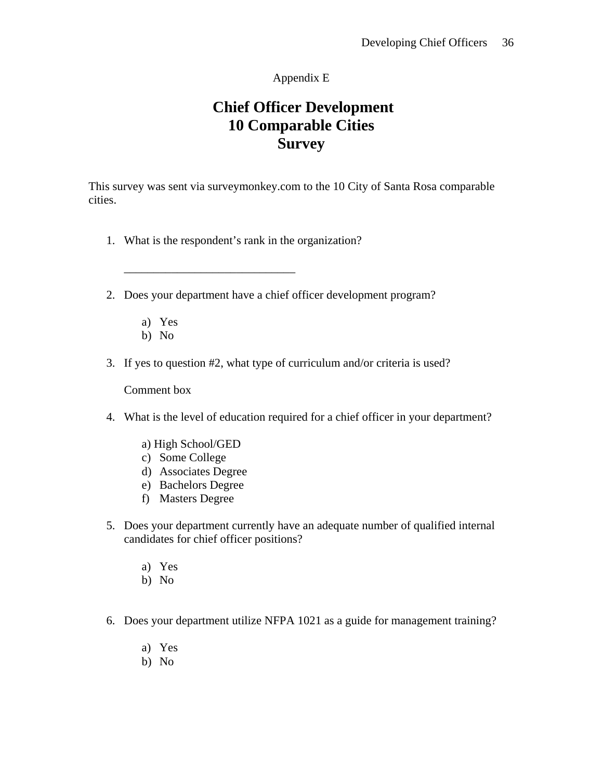## Appendix E

# **Chief Officer Development 10 Comparable Cities Survey**

This survey was sent via surveymonkey.com to the 10 City of Santa Rosa comparable cities.

- 1. What is the respondent's rank in the organization?
- 2. Does your department have a chief officer development program?
	- a) Yes
	- b) No
- 3. If yes to question #2, what type of curriculum and/or criteria is used?

Comment box

- 4. What is the level of education required for a chief officer in your department?
	- a) High School/GED

 $\overline{\phantom{a}}$  ,  $\overline{\phantom{a}}$  ,  $\overline{\phantom{a}}$  ,  $\overline{\phantom{a}}$  ,  $\overline{\phantom{a}}$  ,  $\overline{\phantom{a}}$  ,  $\overline{\phantom{a}}$  ,  $\overline{\phantom{a}}$  ,  $\overline{\phantom{a}}$  ,  $\overline{\phantom{a}}$  ,  $\overline{\phantom{a}}$  ,  $\overline{\phantom{a}}$  ,  $\overline{\phantom{a}}$  ,  $\overline{\phantom{a}}$  ,  $\overline{\phantom{a}}$  ,  $\overline{\phantom{a}}$ 

- c) Some College
- d) Associates Degree
- e) Bachelors Degree
- f) Masters Degree
- 5. Does your department currently have an adequate number of qualified internal candidates for chief officer positions?
	- a) Yes
	- b) No
- 6. Does your department utilize NFPA 1021 as a guide for management training?
	- a) Yes
	- b) No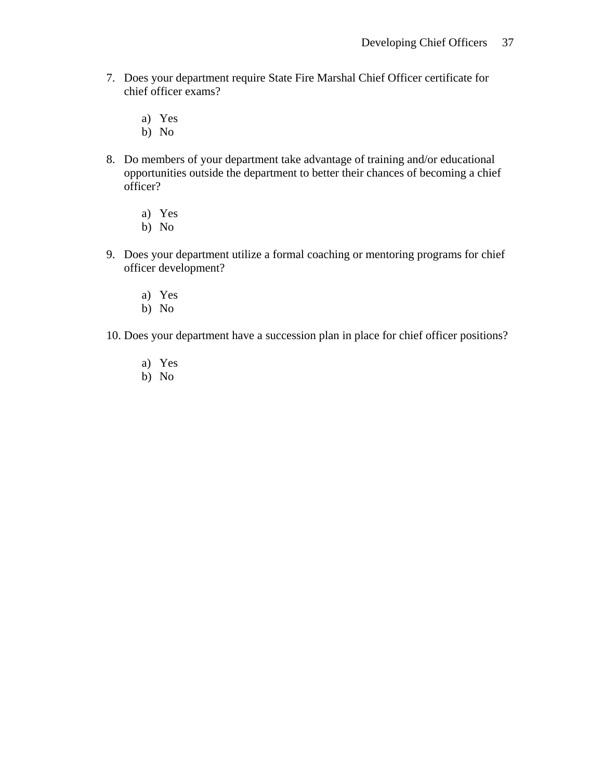- 7. Does your department require State Fire Marshal Chief Officer certificate for chief officer exams?
	- a) Yes
	- b) No
- 8. Do members of your department take advantage of training and/or educational opportunities outside the department to better their chances of becoming a chief officer?
	- a) Yes
	- b) No
- 9. Does your department utilize a formal coaching or mentoring programs for chief officer development?
	- a) Yes
	- b) No
- 10. Does your department have a succession plan in place for chief officer positions?
	- a) Yes
	- b) No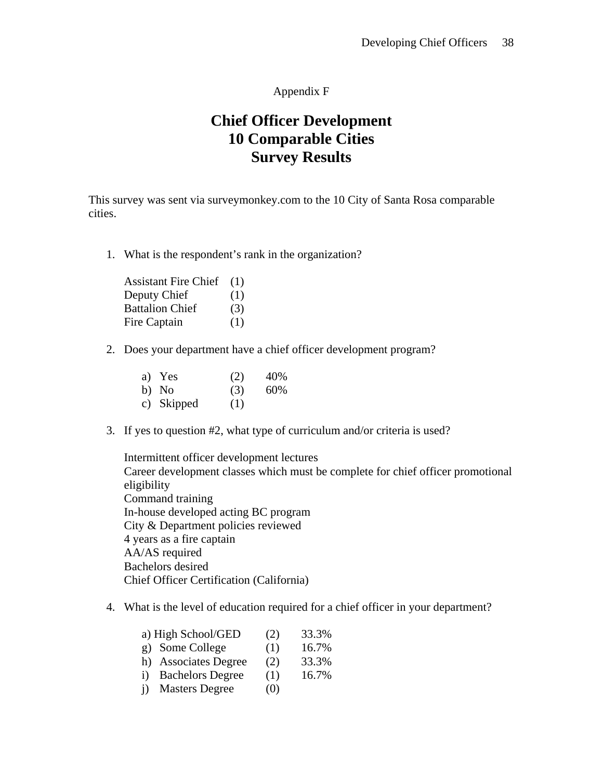### Appendix F

# **Chief Officer Development 10 Comparable Cities Survey Results**

This survey was sent via surveymonkey.com to the 10 City of Santa Rosa comparable cities.

1. What is the respondent's rank in the organization?

| <b>Assistant Fire Chief</b> | (1) |
|-----------------------------|-----|
| Deputy Chief                | (1) |
| <b>Battalion Chief</b>      | (3) |
| Fire Captain                | (1) |

2. Does your department have a chief officer development program?

| a) Yes     | (2) | 40% |
|------------|-----|-----|
| b) No      | (3) | 60% |
| c) Skipped | (1) |     |

3. If yes to question #2, what type of curriculum and/or criteria is used?

Intermittent officer development lectures Career development classes which must be complete for chief officer promotional eligibility Command training In-house developed acting BC program City & Department policies reviewed 4 years as a fire captain AA/AS required Bachelors desired Chief Officer Certification (California)

4. What is the level of education required for a chief officer in your department?

|              | a) High School/GED      | (2) | 33.3% |
|--------------|-------------------------|-----|-------|
|              | g) Some College         | (1) | 16.7% |
|              | h) Associates Degree    | (2) | 33.3% |
| $\mathbf{1}$ | <b>Bachelors Degree</b> | (1) | 16.7% |
| $\mathbf{i}$ | <b>Masters Degree</b>   | (0) |       |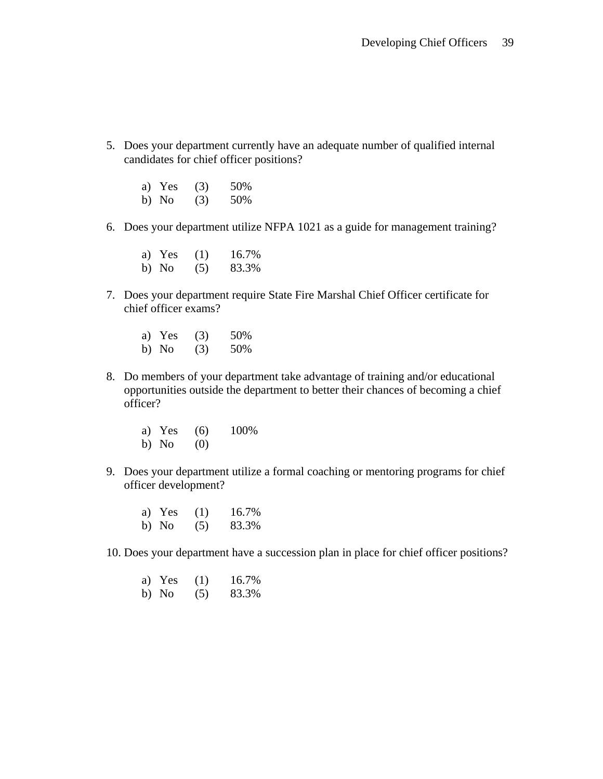5. Does your department currently have an adequate number of qualified internal candidates for chief officer positions?

| a) Yes | (3) | 50% |
|--------|-----|-----|
| b) No  | (3) | 50% |

6. Does your department utilize NFPA 1021 as a guide for management training?

| a) Yes | (1) | 16.7% |
|--------|-----|-------|
| b) No  | (5) | 83.3% |

- 7. Does your department require State Fire Marshal Chief Officer certificate for chief officer exams?
	- a) Yes (3) 50% b) No (3) 50%
- 8. Do members of your department take advantage of training and/or educational opportunities outside the department to better their chances of becoming a chief officer?
	- a) Yes (6) 100% b) No  $(0)$
- 9. Does your department utilize a formal coaching or mentoring programs for chief officer development?
	- a) Yes (1) 16.7% b) No (5) 83.3%
- 10. Does your department have a succession plan in place for chief officer positions?

| a) Yes | (1) | 16.7% |
|--------|-----|-------|
| b) No  | (5) | 83.3% |